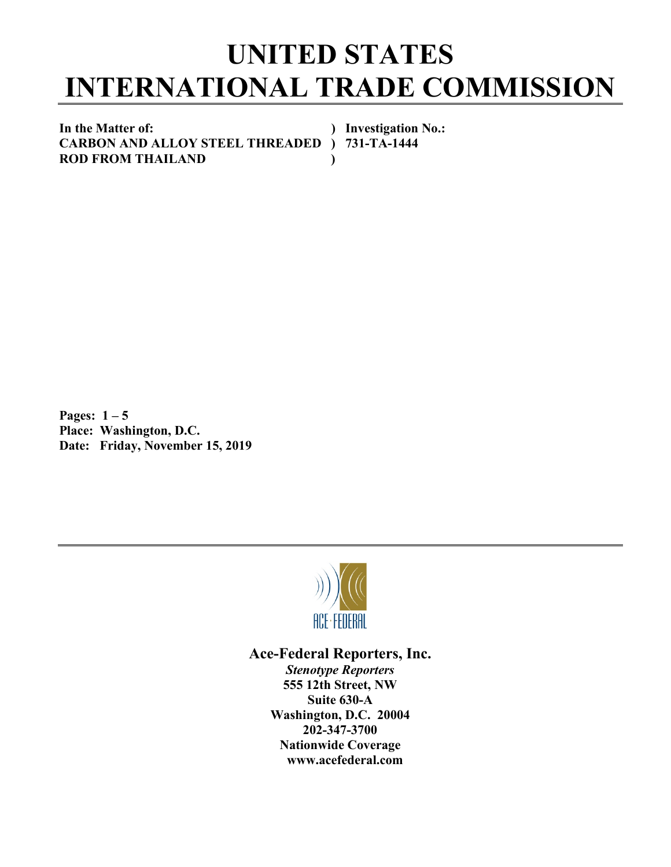## **UNITED STATES INTERNATIONAL TRADE COMMISSION**

**In the Matter of: ) Investigation No.: CARBON AND ALLOY STEEL THREADED ) 731-TA-1444 ROD FROM THAILAND )**

**Pages: 1 – 5 Place: Washington, D.C. Date: Friday, November 15, 2019**



**Ace-Federal Reporters, Inc.**

*Stenotype Reporters* **555 12th Street, NW Suite 630-A Washington, D.C. 20004 202-347-3700 Nationwide Coverage www.acefederal.com**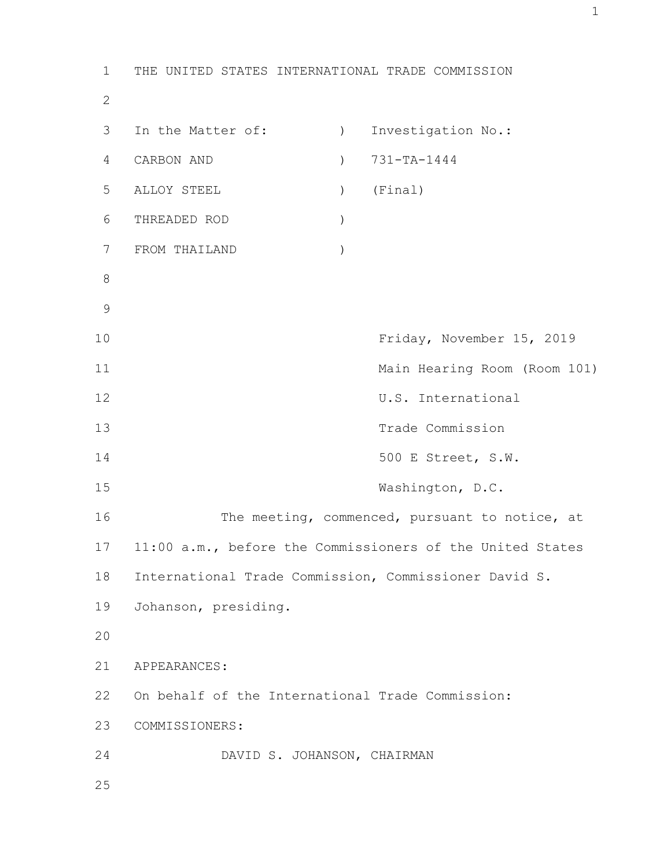1 THE UNITED STATES INTERNATIONAL TRADE COMMISSION 2 3 In the Matter of: (a) Investigation No.: 4 CARBON AND ) 731-TA-1444 5 ALLOY STEEL ) (Final) 6 THREADED ROD ) 7 FROM THAILAND ) 8 9 10 Friday, November 15, 2019 11 Main Hearing Room (Room 101) 12 U.S. International 13 Trade Commission 14 500 E Street, S.W. 15 Washington, D.C. 16 The meeting, commenced, pursuant to notice, at 17 11:00 a.m., before the Commissioners of the United States 18 International Trade Commission, Commissioner David S. 19 Johanson, presiding. 20 21 APPEARANCES: 22 On behalf of the International Trade Commission: 23 COMMISSIONERS: 24 DAVID S. JOHANSON, CHAIRMAN 25

1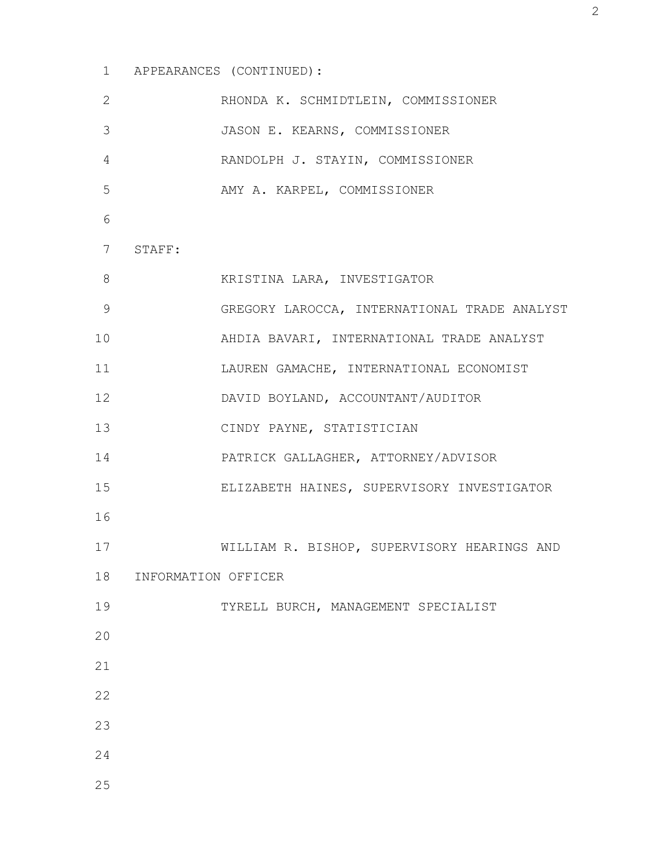1 APPEARANCES (CONTINUED):

| $\overline{2}$  |                     | RHONDA K. SCHMIDTLEIN, COMMISSIONER          |
|-----------------|---------------------|----------------------------------------------|
| 3               |                     | JASON E. KEARNS, COMMISSIONER                |
| $\overline{4}$  |                     | RANDOLPH J. STAYIN, COMMISSIONER             |
| 5               |                     | AMY A. KARPEL, COMMISSIONER                  |
| 6               |                     |                                              |
| $7\phantom{.0}$ | STAFF:              |                                              |
| 8               |                     | KRISTINA LARA, INVESTIGATOR                  |
| 9               |                     | GREGORY LAROCCA, INTERNATIONAL TRADE ANALYST |
| 10              |                     | AHDIA BAVARI, INTERNATIONAL TRADE ANALYST    |
| 11              |                     | LAUREN GAMACHE, INTERNATIONAL ECONOMIST      |
| 12              |                     | DAVID BOYLAND, ACCOUNTANT/AUDITOR            |
| 13              |                     | CINDY PAYNE, STATISTICIAN                    |
| 14              |                     | PATRICK GALLAGHER, ATTORNEY/ADVISOR          |
| 15              |                     | ELIZABETH HAINES, SUPERVISORY INVESTIGATOR   |
| 16              |                     |                                              |
| 17              |                     | WILLIAM R. BISHOP, SUPERVISORY HEARINGS AND  |
| 18              | INFORMATION OFFICER |                                              |
| 19              |                     | TYRELL BURCH, MANAGEMENT SPECIALIST          |
| 20              |                     |                                              |
| 21              |                     |                                              |
| 22              |                     |                                              |
| 23              |                     |                                              |
| 24              |                     |                                              |
| 25              |                     |                                              |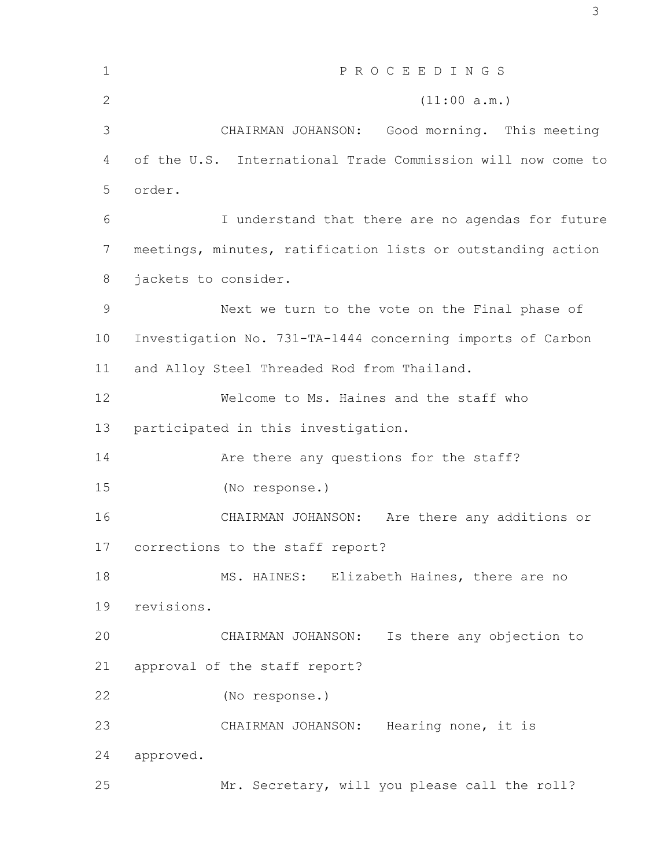| $\mathbf{1}$   | PROCEEDINGS                                                 |
|----------------|-------------------------------------------------------------|
| $\overline{2}$ | (11:00 a.m.)                                                |
| 3              | Good morning. This meeting<br>CHAIRMAN JOHANSON:            |
| 4              | of the U.S. International Trade Commission will now come to |
| 5              | order.                                                      |
| 6              | I understand that there are no agendas for future           |
| $7\phantom{.}$ | meetings, minutes, ratification lists or outstanding action |
| 8              | jackets to consider.                                        |
| $\mathcal{G}$  | Next we turn to the vote on the Final phase of              |
| 10             | Investigation No. 731-TA-1444 concerning imports of Carbon  |
| 11             | and Alloy Steel Threaded Rod from Thailand.                 |
| 12             | Welcome to Ms. Haines and the staff who                     |
| 13             | participated in this investigation.                         |
| 14             | Are there any questions for the staff?                      |
| 15             | (No response.)                                              |
| 16             | CHAIRMAN JOHANSON: Are there any additions or               |
| 17             | corrections to the staff report?                            |
| 18             | MS. HAINES: Elizabeth Haines, there are no                  |
| 19             | revisions.                                                  |
| 20             | CHAIRMAN JOHANSON:<br>Is there any objection to             |
| 21             | approval of the staff report?                               |
| 22             | (No response.)                                              |
| 23             | CHAIRMAN JOHANSON: Hearing none, it is                      |
| 24             | approved.                                                   |
| 25             | Mr. Secretary, will you please call the roll?               |

3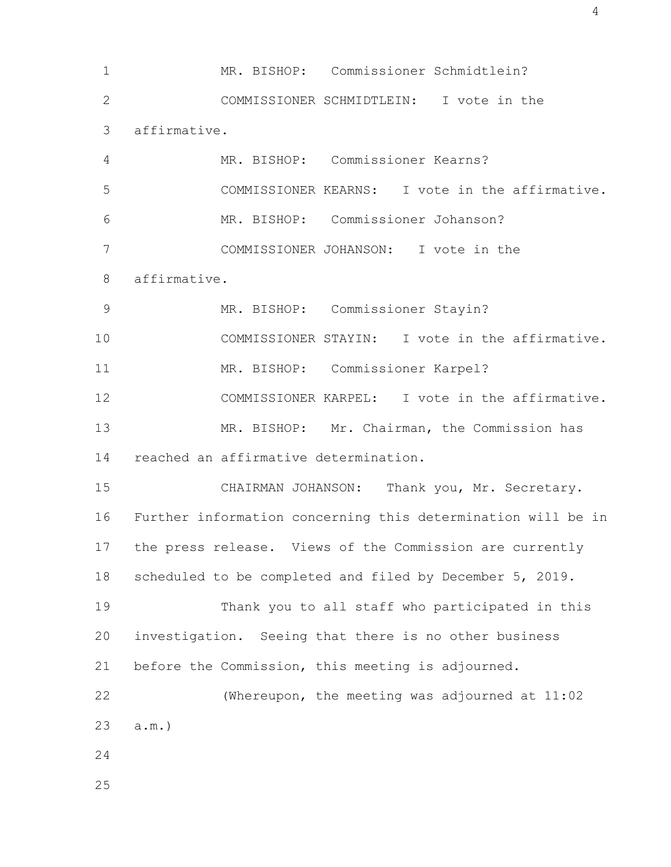1 MR. BISHOP: Commissioner Schmidtlein? 2 COMMISSIONER SCHMIDTLEIN: I vote in the 3 affirmative. 4 MR. BISHOP: Commissioner Kearns? 5 COMMISSIONER KEARNS: I vote in the affirmative. 6 MR. BISHOP: Commissioner Johanson? 7 COMMISSIONER JOHANSON: I vote in the 8 affirmative. 9 MR. BISHOP: Commissioner Stayin? 10 COMMISSIONER STAYIN: I vote in the affirmative. 11 MR. BISHOP: Commissioner Karpel? 12 COMMISSIONER KARPEL: I vote in the affirmative. 13 MR. BISHOP: Mr. Chairman, the Commission has 14 reached an affirmative determination. 15 CHAIRMAN JOHANSON: Thank you, Mr. Secretary. 16 Further information concerning this determination will be in 17 the press release. Views of the Commission are currently 18 scheduled to be completed and filed by December 5, 2019. 19 Thank you to all staff who participated in this 20 investigation. Seeing that there is no other business 21 before the Commission, this meeting is adjourned. 22 (Whereupon, the meeting was adjourned at 11:02 23 a.m.) 24 25

4